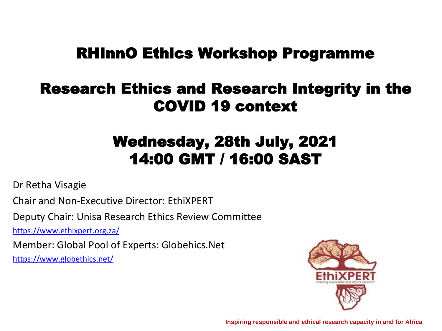# RHInnO Ethics Workshop Programme

# Research Ethics and Research Integrity in the COVID 19 context

# Wednesday, 28th July, 2021 14:00 GMT / 16:00 SAST

Dr Retha Visagie

Chair and Non-Executive Director: EthiXPERT

Deputy Chair: Unisa Research Ethics Review Committee

<https://www.ethixpert.org.za/>

Member: Global Pool of Experts: Globehics.Net

<https://www.globethics.net/>



**Inspiring responsible and ethical research capacity in and for Africa**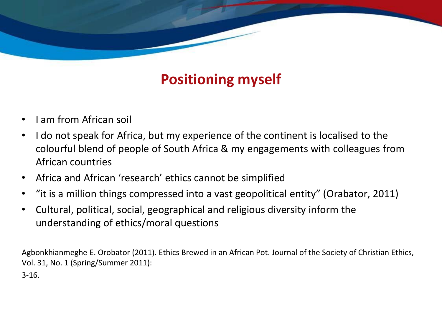# **Positioning myself**

- I am from African soil
- I do not speak for Africa, but my experience of the continent is localised to the colourful blend of people of South Africa & my engagements with colleagues from African countries
- Africa and African 'research' ethics cannot be simplified
- "it is a million things compressed into a vast geopolitical entity" (Orabator, 2011)
- Cultural, political, social, geographical and religious diversity inform the understanding of ethics/moral questions

Agbonkhianmeghe E. Orobator (2011). Ethics Brewed in an African Pot. Journal of the Society of Christian Ethics, Vol. 31, No. 1 (Spring/Summer 2011):

3-16.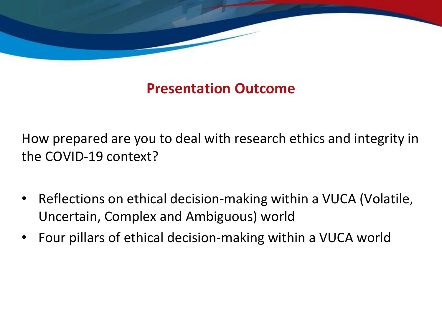

## **Presentation Outcome**

How prepared are you to deal with research ethics and integrity in the COVID-19 context?

- Reflections on ethical decision-making within a VUCA (Volatile, Uncertain, Complex and Ambiguous) world
- Four pillars of ethical decision-making within a VUCA world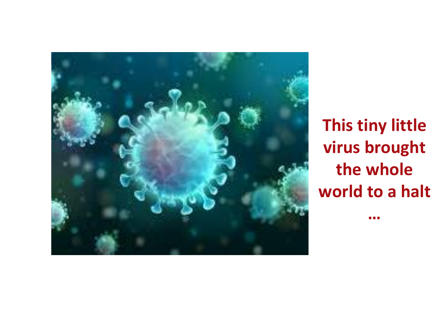

**This tiny little virus brought the whole world to a halt** 

**…**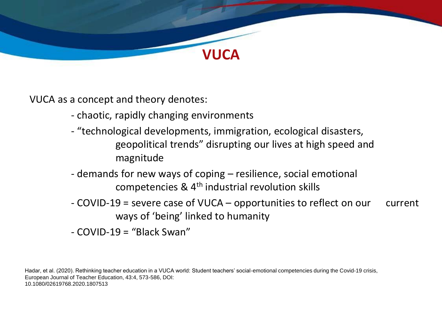

VUCA as a concept and theory denotes:

- chaotic, rapidly changing environments
- "technological developments, immigration, ecological disasters, geopolitical trends" disrupting our lives at high speed and magnitude
- demands for new ways of coping resilience, social emotional competencies & 4th industrial revolution skills
- COVID-19 = severe case of VUCA opportunities to reflect on our current ways of 'being' linked to humanity
- COVID-19 = "Black Swan"

Hadar, et al. (2020). Rethinking teacher education in a VUCA world: Student teachers' social-emotional competencies during the Covid-19 crisis, European Journal of Teacher Education, 43:4, 573-586, DOI: 10.1080/02619768.2020.1807513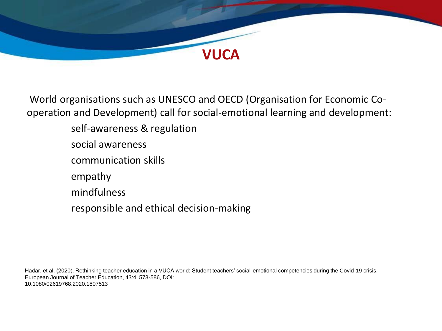

World organisations such as UNESCO and OECD (Organisation for Economic Cooperation and Development) call for social-emotional learning and development:

- self-awareness & regulation
- social awareness
- communication skills
- empathy
- mindfulness
- responsible and ethical decision-making

Hadar, et al. (2020). Rethinking teacher education in a VUCA world: Student teachers' social-emotional competencies during the Covid-19 crisis, European Journal of Teacher Education, 43:4, 573-586, DOI: 10.1080/02619768.2020.1807513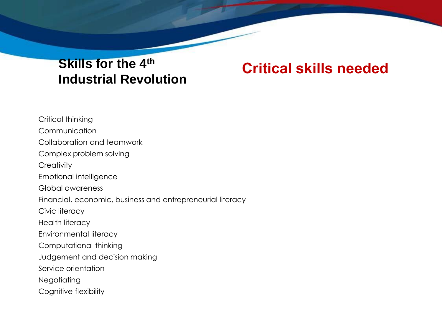### **Critical skills needed Skills for the 4th Industrial Revolution**

Critical thinking Communication Collaboration and teamwork Complex problem solving **Creativity** Emotional intelligence Global awareness Financial, economic, business and entrepreneurial literacy Civic literacy Health literacy Environmental literacy Computational thinking Judgement and decision making Service orientation **Negotiating** Cognitive flexibility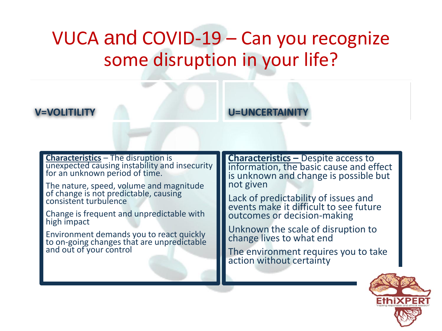# VUCA and COVID-19 – Can you recognize some disruption in your life?

#### **V=VOLITILITY**

U=UNCERTAINIT

**Characteristics** – The disruption is unexpected causing instability and insecurity for an unknown period of time.

The nature, speed, volume and magnitude of change is not predictable, causing consistent turbulence

Change is frequent and unpredictable with high impact

Environment demands you to react quickly to on-going changes that are unpredictable and out of your control

**Characteristics –** Despite access to information, the basic cause and effect is unknown and change is possible but not given

Lack of predictability of issues and events make it difficult to see future outcomes or decision-making

Unknown the scale of disruption to change lives to what end

The environment requires you to take action without certainty

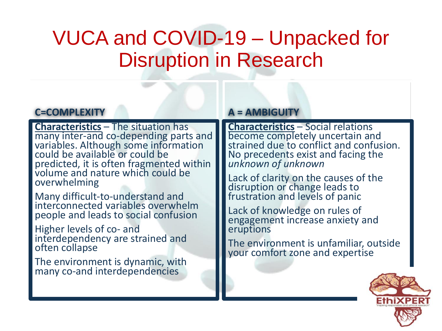# VUCA and COVID-19 – Unpacked for Disruption in Research

#### **C=COMPLEXITY**

**Characteristics** – The situation has many inter-and co-depending parts and variables. Although some information could be available or could be predicted, it is often fragmented within volume and nature which could be overwhelming

Many difficult-to-understand and interconnected variables overwhelm people and leads to social confusion

Higher levels of co- and interdependency are strained and often collapse

The environment is dynamic, with many co-and interdependencies

#### **A = AMBIGUITY**

**Characteristics** – Social relations become completely uncertain and strained due to conflict and confusion. No precedents exist and facing the *unknown of unknown*

Lack of clarity on the causes of the disruption or change leads to frustration and levels of panic

Lack of knowledge on rules of engagement increase anxiety and eruptions

The environment is unfamiliar, outside your comfort zone and expertise

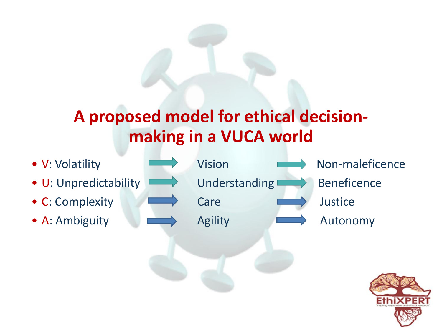# **A proposed model for ethical decisionmaking in a VUCA world**

- 
- U: Unpredictability  $\longrightarrow$  Understanding  $\longrightarrow$  Beneficence
- C: Complexity **Care** Care **Department Care** Justice
- A: Ambiguity **Agility** Agility **Autonomy**
- 

• V: Volatility **Wision** Vision **Non-maleficence** 

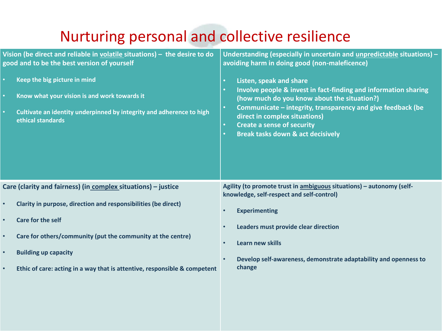# Nurturing personal and collective resilience

| $\bullet$<br>$\bullet$ | Vision (be direct and reliable in $volatile$ situations) $-$ the desire to do<br>good and to be the best version of yourself<br>Keep the big picture in mind<br>Know what your vision is and work towards it<br>Cultivate an identity underpinned by integrity and adherence to high<br>ethical standards | Understanding (especially in uncertain and unpredictable situations) -<br>avoiding harm in doing good (non-maleficence)<br>Listen, speak and share<br>$\bullet$<br>Involve people & invest in fact-finding and information sharing<br>$\bullet$<br>(how much do you know about the situation?)<br>Communicate - integrity, transparency and give feedback (be<br>$\bullet$<br>direct in complex situations)<br><b>Create a sense of security</b><br>$\bullet$<br><b>Break tasks down &amp; act decisively</b><br>$\bullet$ |
|------------------------|-----------------------------------------------------------------------------------------------------------------------------------------------------------------------------------------------------------------------------------------------------------------------------------------------------------|----------------------------------------------------------------------------------------------------------------------------------------------------------------------------------------------------------------------------------------------------------------------------------------------------------------------------------------------------------------------------------------------------------------------------------------------------------------------------------------------------------------------------|
|                        | Care (clarity and fairness) (in complex situations) - justice                                                                                                                                                                                                                                             | Agility (to promote trust in ambiguous situations) - autonomy (self-<br>knowledge, self-respect and self-control)                                                                                                                                                                                                                                                                                                                                                                                                          |
| $\bullet$              | Clarity in purpose, direction and responsibilities (be direct)                                                                                                                                                                                                                                            | <b>Experimenting</b><br>$\bullet$                                                                                                                                                                                                                                                                                                                                                                                                                                                                                          |
| $\bullet$              | <b>Care for the self</b>                                                                                                                                                                                                                                                                                  | Leaders must provide clear direction                                                                                                                                                                                                                                                                                                                                                                                                                                                                                       |
|                        | Care for others/community (put the community at the centre)                                                                                                                                                                                                                                               | <b>Learn new skills</b>                                                                                                                                                                                                                                                                                                                                                                                                                                                                                                    |
|                        | <b>Building up capacity</b>                                                                                                                                                                                                                                                                               | Develop self-awareness, demonstrate adaptability and openness to<br>$\bullet$                                                                                                                                                                                                                                                                                                                                                                                                                                              |
| $\bullet$              | Ethic of care: acting in a way that is attentive, responsible & competent                                                                                                                                                                                                                                 | change                                                                                                                                                                                                                                                                                                                                                                                                                                                                                                                     |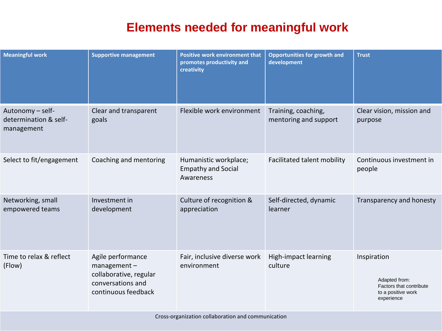### **Elements needed for meaningful work**

| <b>Meaningful work</b>                                  | <b>Supportive management</b>                                                                               | Positive work environment that<br>promotes productivity and<br>creativity | <b>Opportunities for growth and</b><br>development | <b>Trust</b>                                                                                |
|---------------------------------------------------------|------------------------------------------------------------------------------------------------------------|---------------------------------------------------------------------------|----------------------------------------------------|---------------------------------------------------------------------------------------------|
| Autonomy - self-<br>determination & self-<br>management | Clear and transparent<br>goals                                                                             | Flexible work environment                                                 | Training, coaching,<br>mentoring and support       | Clear vision, mission and<br>purpose                                                        |
| Select to fit/engagement                                | Coaching and mentoring                                                                                     | Humanistic workplace;<br><b>Empathy and Social</b><br>Awareness           | Facilitated talent mobility                        | Continuous investment in<br>people                                                          |
| Networking, small<br>empowered teams                    | Investment in<br>development                                                                               | Culture of recognition &<br>appreciation                                  | Self-directed, dynamic<br>learner                  | Transparency and honesty                                                                    |
| Time to relax & reflect<br>(Flow)                       | Agile performance<br>$m$ anagement -<br>collaborative, regular<br>conversations and<br>continuous feedback | Fair, inclusive diverse work<br>environment                               | High-impact learning<br>culture                    | Inspiration<br>Adapted from:<br>Factors that contribute<br>to a positive work<br>experience |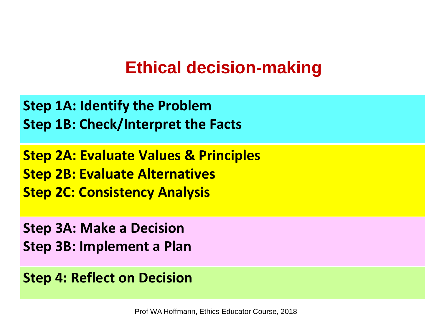# **Ethical decision-making**

**Step 1A: Identify the Problem Step 1B: Check/Interpret the Facts**

**Step 2A: Evaluate Values & Principles Step 2B: Evaluate Alternatives Step 2C: Consistency Analysis**

**Step 3A: Make a Decision Step 3B: Implement a Plan**

**Step 4: Reflect on Decision**

Prof WA Hoffmann, Ethics Educator Course, 2018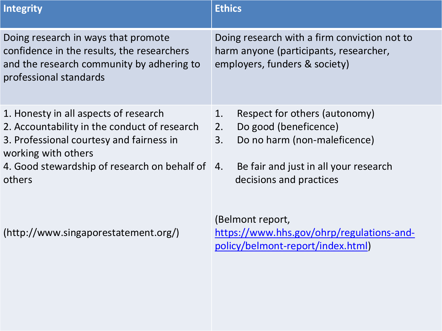| <b>Integrity</b>                                                                                                                                                                                                      | <b>Ethics</b>                                                                                                                                                                |
|-----------------------------------------------------------------------------------------------------------------------------------------------------------------------------------------------------------------------|------------------------------------------------------------------------------------------------------------------------------------------------------------------------------|
| Doing research in ways that promote<br>confidence in the results, the researchers<br>and the research community by adhering to<br>professional standards                                                              | Doing research with a firm conviction not to<br>harm anyone (participants, researcher,<br>employers, funders & society)                                                      |
| 1. Honesty in all aspects of research<br>2. Accountability in the conduct of research<br>3. Professional courtesy and fairness in<br>working with others<br>4. Good stewardship of research on behalf of 4.<br>others | Respect for others (autonomy)<br>1.<br>Do good (beneficence)<br>2.<br>Do no harm (non-maleficence)<br>3.<br>Be fair and just in all your research<br>decisions and practices |
| (http://www.singaporestatement.org/)                                                                                                                                                                                  | (Belmont report,<br>https://www.hhs.gov/ohrp/regulations-and-<br>policy/belmont-report/index.html)                                                                           |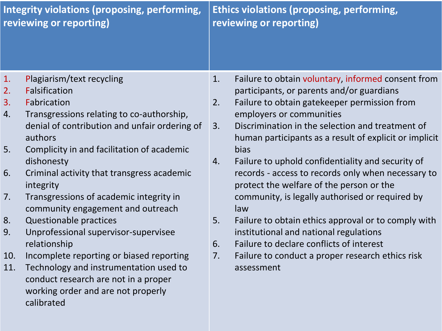| Integrity violations (proposing, performing,<br>reviewing or reporting) |                                                                                                                                    | <b>Ethics violations (proposing, performing,</b><br>reviewing or reporting) |                                                                                                            |
|-------------------------------------------------------------------------|------------------------------------------------------------------------------------------------------------------------------------|-----------------------------------------------------------------------------|------------------------------------------------------------------------------------------------------------|
| 1.                                                                      | Plagiarism/text recycling                                                                                                          | 1.                                                                          | Failure to obtain voluntary, informed consent from                                                         |
| 2.                                                                      | <b>Falsification</b>                                                                                                               |                                                                             | participants, or parents and/or guardians                                                                  |
| 3.                                                                      | Fabrication                                                                                                                        | 2.                                                                          | Failure to obtain gatekeeper permission from                                                               |
| 4.                                                                      | Transgressions relating to co-authorship,                                                                                          |                                                                             | employers or communities                                                                                   |
|                                                                         | denial of contribution and unfair ordering of<br>authors                                                                           | 3.                                                                          | Discrimination in the selection and treatment of<br>human participants as a result of explicit or implicit |
| 5.                                                                      | Complicity in and facilitation of academic                                                                                         |                                                                             | bias                                                                                                       |
|                                                                         | dishonesty                                                                                                                         | 4.                                                                          | Failure to uphold confidentiality and security of                                                          |
| 6.                                                                      | Criminal activity that transgress academic<br>integrity                                                                            |                                                                             | records - access to records only when necessary to<br>protect the welfare of the person or the             |
| 7.                                                                      | Transgressions of academic integrity in<br>community engagement and outreach                                                       |                                                                             | community, is legally authorised or required by<br>law                                                     |
| 8.                                                                      | <b>Questionable practices</b>                                                                                                      | 5.                                                                          | Failure to obtain ethics approval or to comply with                                                        |
| 9.                                                                      | Unprofessional supervisor-supervisee<br>relationship                                                                               | 6.                                                                          | institutional and national regulations<br>Failure to declare conflicts of interest                         |
| 10.                                                                     | Incomplete reporting or biased reporting                                                                                           | 7.                                                                          | Failure to conduct a proper research ethics risk                                                           |
| 11.                                                                     | Technology and instrumentation used to<br>conduct research are not in a proper<br>working order and are not properly<br>calibrated |                                                                             | assessment                                                                                                 |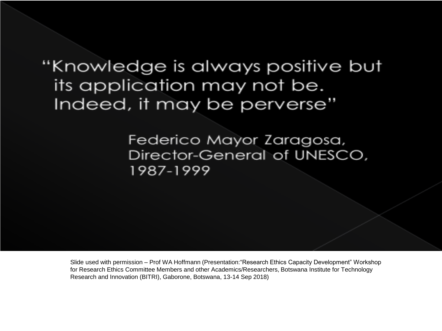# "Knowledge is always positive but its application may not be. Indeed, it may be perverse"

Federico Mayor Zaragosa, Director-General of UNESCO. 1987-1999

Slide used with permission – Prof WA Hoffmann (Presentation:"Research Ethics Capacity Development" Workshop for Research Ethics Committee Members and other Academics/Researchers, Botswana Institute for Technology Research and Innovation (BITRI), Gaborone, Botswana, 13-14 Sep 2018)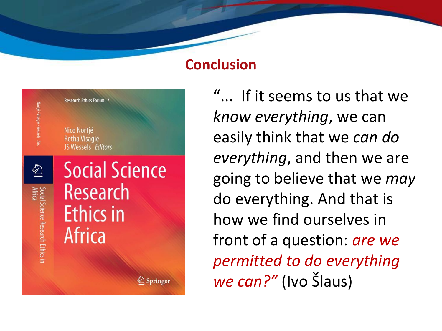### **Conclusion**



"... If it seems to us that we *know everything*, we can easily think that we *can do everything*, and then we are going to believe that we *may* do everything. And that is how we find ourselves in front of a question: *are we permitted to do everything we can?"* (Ivo Šlaus)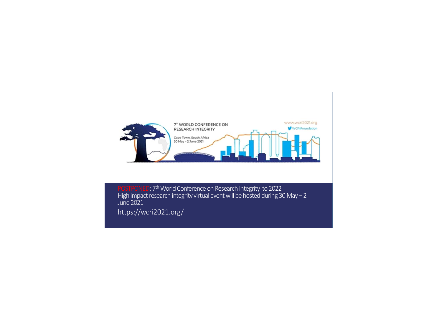

POSTPONED: 7<sup>th</sup> World Conference on Research Integrity to 2022<br>| High impact research integrity virtual event will be hosted during 30 May – 2 https://wcri2021.org/